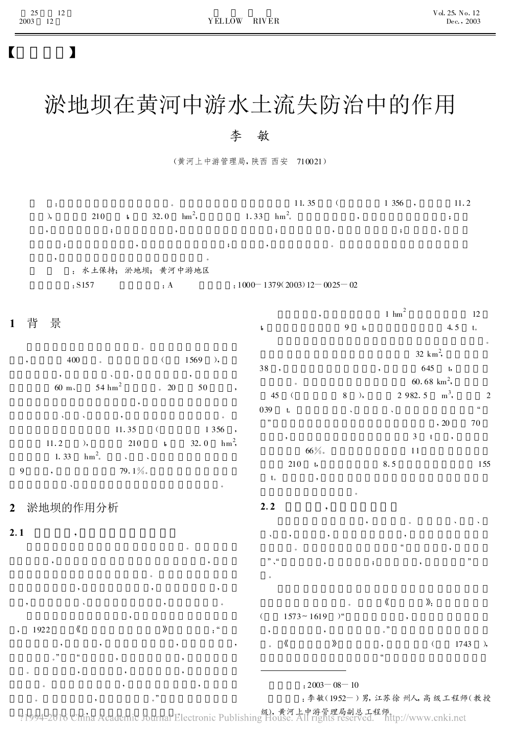# 【 】

# 淤地坝在黄河中游水土流失防治中的作用

## 李 敏

(黄河上中游管理局, 陕西 西安 710021)

| :  |           | $\circ$                 |                              | 11.35   | 1356,   | 11.2 |
|----|-----------|-------------------------|------------------------------|---------|---------|------|
| λ, | 210<br>t, | $\text{hm}^2$ ,<br>32.0 | $hm^2$ .<br>1.33             |         |         |      |
| ۰  |           |                         |                              |         |         | ۰    |
|    |           | ٠                       | ٠<br>,<br>٠                  | $\circ$ |         |      |
| ,  |           | : 水土保持; 淤地坝; 黄河中游地区     |                              |         |         |      |
|    | : S157    | $\cdot$ A               | $:1000-1379(2003)12-0025-02$ |         |         |      |
|    |           |                         |                              |         | $1 \t1$ |      |

#### 1 背 景 。 , 400 。 ( 1569 ), , 、 , , 60 m,  $54 \text{ hm}^2$ 2  $.20$  50,  $\bullet$  , and  $\bullet$  , and  $\bullet$  , and  $\bullet$ 11.35 ( 1 356 , 11.2 ), 210 **t** 32.0 hm  $hm<sup>2</sup>$ , 1.33  $hm^2$ . 2,  $\sim$   $\sim$ 9 , 79.1%  $\bullet$ 2 淤地坝的作用分析  $2.1$ 。 , , 。 , , , , where  $\mathbf{v}$  , we have  $\mathbf{v}$  , we have  $\mathbf{v}$  $1922 \qquad \qquad \langle \qquad \qquad \rangle$  : " , , , ,  $\qquad \qquad ,\qquad \qquad ,\qquad \qquad ,$ , 1 hm 12 t,  $9 \t, 4.5 \t, 4.5$ 。  $32 \text{ km}^2$ ,  $38$ ,  $645$ ,  $60.68 \text{ km}^2$ , 45 ( 8 ), 2 982.5  $m<sup>3</sup>$ , 2  $039$  t.  $\qquad \qquad$ ", 20 70 , and the set of  $3$  t ,  $66\%$  11 210 t, 8.5 155  $t_{\circ}$ , , 。  $2.2$ , where  $\alpha$  is a set of  $\alpha$  $\qquad \qquad , \qquad \qquad , \qquad \qquad , \qquad \qquad ,$ 。 " , " 、" , ; , " 。 。 《 》:  $($  1573~1619  $)$ , , 。" , ( 1743 ), ( 1743 ), "

 $:2003 - 08 - 10$ 

:李敏(1952 -)男, 江苏徐州人, 高级工程师(教授

, 。 级), 黄河上中游管理局副总工程师。

。 , , ,

。 , 。"

。 , ,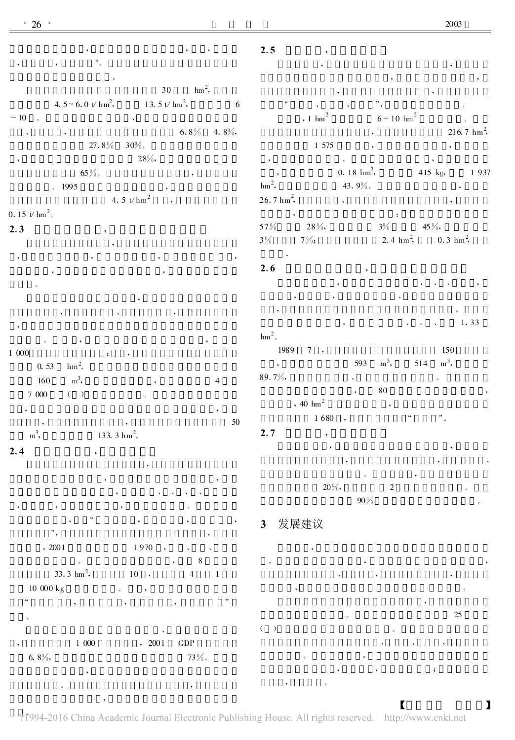$6.8\%$  4.8%,  $27.8\%$   $30\%$ . , 28%,  $65\%$ 

 $.1995$ 4.5  $t/hm^2$  $0.15 \frac{\nu \text{ hm}^2}{\cdot}$ 

 $2.3$ , , , , , , 。 , where  $\mathcal{L}$  , we have  $\mathcal{L}$  , we have  $\mathcal{L}$ 

。 , ,  $1000$  $0.53$  $hm^2$ . 160 m  $m^3$ , ,  $\sim$  4  $7000$  ( ) , , ,  $50$ 

 $m<sup>3</sup>$  $133.3 \text{ hm}^2$ .  $2.4$ , , , where  $\alpha$  is a set of the set of the set of the set of the set of the set of the set of the set of the set of the set of the set of the set of the set of the set of the set of the set of the set of the set of the set o , , , 。 , " , , ,

" , ,  $, 2001$  1 970 ,  $\sim$  8 33.3  $\text{hm}^2$ , 10 , 4 1  $10000 kg$ " , , , " 。

 $\overline{\phantom{a}}$ 

、 , 1 000 , 2001 GDP 6.  $8\%,$  73 %.

, ,  $\begin{array}{ccc} \cdots & \cdots & \cdots \end{array}$  $1 \text{ hm}^2$  $6 \sim 10 \text{ hm}^2$ 。  $216.7 \text{ hm}^2$ 1 575 , where  $\sim$  , we have  $\sim$  , we have  $\sim$  , we have  $\sim$  $0.18 \text{ hm}^2$ 415 kg, 1 937  $\mathrm{hm}^2$ , 43 .9%。 ,  $26.7 \text{ hm}^2$ , where  $\mathbf{x}$  , we have the set of  $\mathbf{x}$ , and the set of the set of the set of the set of the set of the set of the set of the set of the set of the set of the set of the set of the set of the set of the set of the set of the set of the set of the set of the se

, ,

 $57\%$   $28\%,$   $3\%$   $45\%,$  $3\%$  7%; 2.4 hm<sup>2</sup>  $0.3 \text{ hm}^2$ , 。  $2.6$ , , 、 、 ,

, , 、 , and the contract of the contract of the contract of the contract of the contract of the contract of the contract of the contract of the contract of the contract of the contract of the contract of the contract of the con 1.33  $\mathrm{hm}^2$ . 1989 7 , 150 , 593 m  $m^3$ , 514  $m<sup>3</sup>$ , ,

 $89.7\%$  $80$ ,  $80$  $40 \text{ hm}^2$ 1 680  $2.7$ , ,

, , 、  $\overline{\phantom{a}}$  $20\%,$  2 90 % 。

3 发展建议

 $2.5$ 

。 , , 、 , ,  $\bullet$ ,  $25$  $($   $)$ 、 、 、

, , ;

 $\overline{\phantom{a}}$ 

?1994-2016 China Academic Journal Electronic Publishing House. All rights reserved. http://www.cnki.net  $\blacksquare$ 

, where  $\mathbf{r}$ 

,

, ,